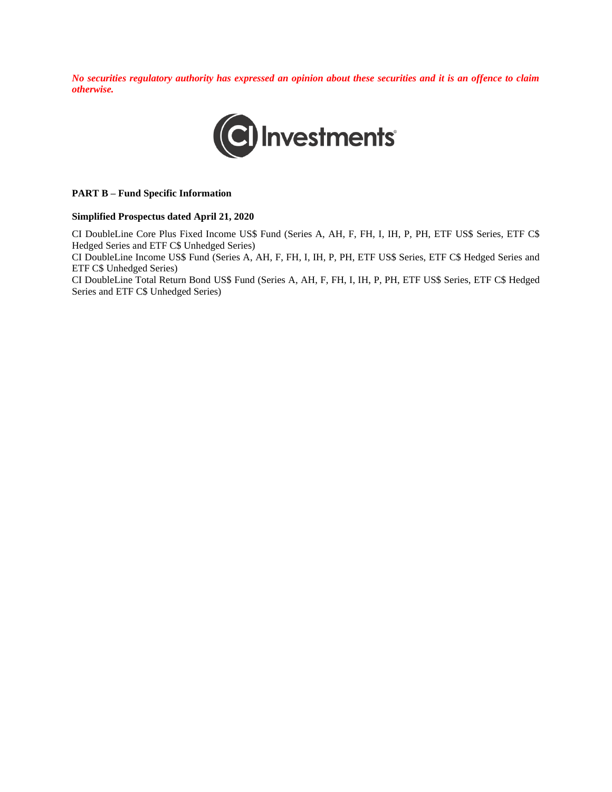*No securities regulatory authority has expressed an opinion about these securities and it is an offence to claim otherwise.*



#### **PART B – Fund Specific Information**

#### **Simplified Prospectus dated April 21, 2020**

CI DoubleLine Core Plus Fixed Income US\$ Fund (Series A, AH, F, FH, I, IH, P, PH, ETF US\$ Series, ETF C\$ Hedged Series and ETF C\$ Unhedged Series)

CI DoubleLine Income US\$ Fund (Series A, AH, F, FH, I, IH, P, PH, ETF US\$ Series, ETF C\$ Hedged Series and ETF C\$ Unhedged Series)

CI DoubleLine Total Return Bond US\$ Fund (Series A, AH, F, FH, I, IH, P, PH, ETF US\$ Series, ETF C\$ Hedged Series and ETF C\$ Unhedged Series)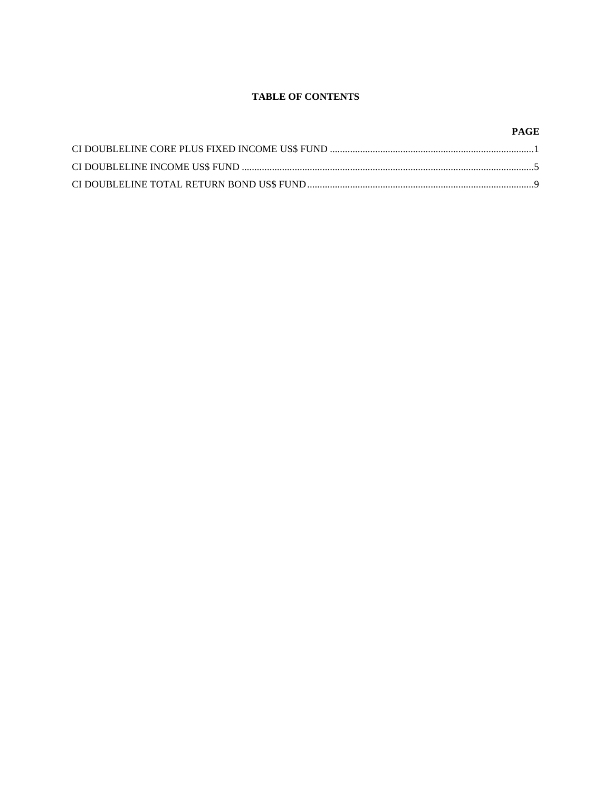# **TABLE OF CONTENTS**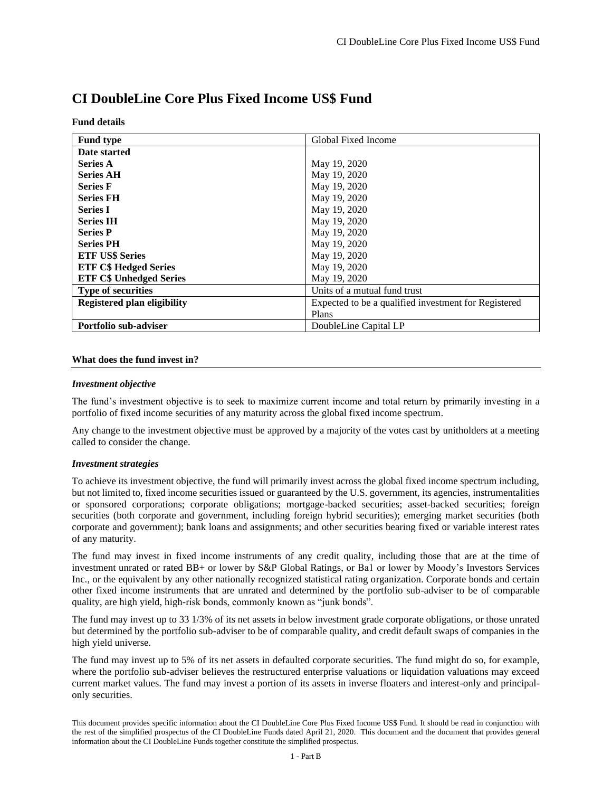| <b>Fund type</b>                   | Global Fixed Income                                  |
|------------------------------------|------------------------------------------------------|
| Date started                       |                                                      |
| <b>Series A</b>                    | May 19, 2020                                         |
| <b>Series AH</b>                   | May 19, 2020                                         |
| <b>Series F</b>                    | May 19, 2020                                         |
| <b>Series FH</b>                   | May 19, 2020                                         |
| <b>Series I</b>                    | May 19, 2020                                         |
| <b>Series IH</b>                   | May 19, 2020                                         |
| <b>Series P</b>                    | May 19, 2020                                         |
| <b>Series PH</b>                   | May 19, 2020                                         |
| <b>ETF US\$ Series</b>             | May 19, 2020                                         |
| <b>ETF C\$ Hedged Series</b>       | May 19, 2020                                         |
| <b>ETF C\$ Unhedged Series</b>     | May 19, 2020                                         |
| <b>Type of securities</b>          | Units of a mutual fund trust                         |
| <b>Registered plan eligibility</b> | Expected to be a qualified investment for Registered |
|                                    | Plans                                                |
| <b>Portfolio sub-adviser</b>       | DoubleLine Capital LP                                |

# **CI DoubleLine Core Plus Fixed Income US\$ Fund**

#### **Fund details**

#### **What does the fund invest in?**

#### *Investment objective*

The fund's investment objective is to seek to maximize current income and total return by primarily investing in a portfolio of fixed income securities of any maturity across the global fixed income spectrum.

Any change to the investment objective must be approved by a majority of the votes cast by unitholders at a meeting called to consider the change.

#### *Investment strategies*

To achieve its investment objective, the fund will primarily invest across the global fixed income spectrum including, but not limited to, fixed income securities issued or guaranteed by the U.S. government, its agencies, instrumentalities or sponsored corporations; corporate obligations; mortgage-backed securities; asset-backed securities; foreign securities (both corporate and government, including foreign hybrid securities); emerging market securities (both corporate and government); bank loans and assignments; and other securities bearing fixed or variable interest rates of any maturity.

The fund may invest in fixed income instruments of any credit quality, including those that are at the time of investment unrated or rated BB+ or lower by S&P Global Ratings, or Ba1 or lower by Moody's Investors Services Inc., or the equivalent by any other nationally recognized statistical rating organization. Corporate bonds and certain other fixed income instruments that are unrated and determined by the portfolio sub-adviser to be of comparable quality, are high yield, high-risk bonds, commonly known as "junk bonds".

The fund may invest up to 33 1/3% of its net assets in below investment grade corporate obligations, or those unrated but determined by the portfolio sub-adviser to be of comparable quality, and credit default swaps of companies in the high yield universe.

The fund may invest up to 5% of its net assets in defaulted corporate securities. The fund might do so, for example, where the portfolio sub-adviser believes the restructured enterprise valuations or liquidation valuations may exceed current market values. The fund may invest a portion of its assets in inverse floaters and interest-only and principalonly securities.

This document provides specific information about the CI DoubleLine Core Plus Fixed Income US\$ Fund. It should be read in conjunction with the rest of the simplified prospectus of the CI DoubleLine Funds dated April 21, 2020. This document and the document that provides general information about the CI DoubleLine Funds together constitute the simplified prospectus.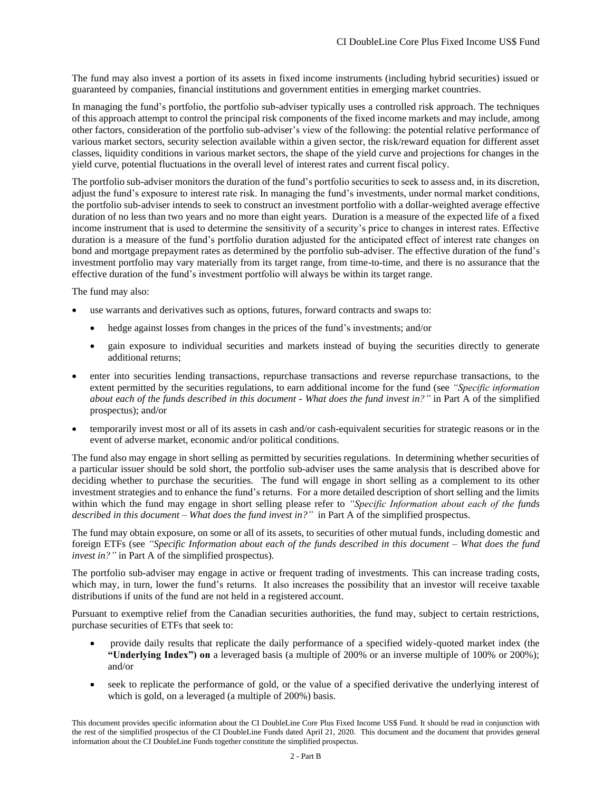The fund may also invest a portion of its assets in fixed income instruments (including hybrid securities) issued or guaranteed by companies, financial institutions and government entities in emerging market countries.

In managing the fund's portfolio, the portfolio sub-adviser typically uses a controlled risk approach. The techniques of this approach attempt to control the principal risk components of the fixed income markets and may include, among other factors, consideration of the portfolio sub-adviser's view of the following: the potential relative performance of various market sectors, security selection available within a given sector, the risk/reward equation for different asset classes, liquidity conditions in various market sectors, the shape of the yield curve and projections for changes in the yield curve, potential fluctuations in the overall level of interest rates and current fiscal policy.

The portfolio sub-adviser monitors the duration of the fund's portfolio securities to seek to assess and, in its discretion, adjust the fund's exposure to interest rate risk. In managing the fund's investments, under normal market conditions, the portfolio sub-adviser intends to seek to construct an investment portfolio with a dollar-weighted average effective duration of no less than two years and no more than eight years. Duration is a measure of the expected life of a fixed income instrument that is used to determine the sensitivity of a security's price to changes in interest rates. Effective duration is a measure of the fund's portfolio duration adjusted for the anticipated effect of interest rate changes on bond and mortgage prepayment rates as determined by the portfolio sub-adviser. The effective duration of the fund's investment portfolio may vary materially from its target range, from time-to-time, and there is no assurance that the effective duration of the fund's investment portfolio will always be within its target range.

The fund may also:

- use warrants and derivatives such as options, futures, forward contracts and swaps to:
	- hedge against losses from changes in the prices of the fund's investments; and/or
	- gain exposure to individual securities and markets instead of buying the securities directly to generate additional returns;
- enter into securities lending transactions, repurchase transactions and reverse repurchase transactions, to the extent permitted by the securities regulations, to earn additional income for the fund (see *"Specific information about each of the funds described in this document - What does the fund invest in?"* in Part A of the simplified prospectus); and/or
- temporarily invest most or all of its assets in cash and/or cash-equivalent securities for strategic reasons or in the event of adverse market, economic and/or political conditions.

The fund also may engage in short selling as permitted by securities regulations. In determining whether securities of a particular issuer should be sold short, the portfolio sub-adviser uses the same analysis that is described above for deciding whether to purchase the securities. The fund will engage in short selling as a complement to its other investment strategies and to enhance the fund's returns. For a more detailed description of short selling and the limits within which the fund may engage in short selling please refer to *"Specific Information about each of the funds described in this document – What does the fund invest in?"* in Part A of the simplified prospectus.

The fund may obtain exposure, on some or all of its assets, to securities of other mutual funds, including domestic and foreign ETFs (see *"Specific Information about each of the funds described in this document – What does the fund invest in?"* in Part A of the simplified prospectus).

The portfolio sub-adviser may engage in active or frequent trading of investments. This can increase trading costs, which may, in turn, lower the fund's returns. It also increases the possibility that an investor will receive taxable distributions if units of the fund are not held in a registered account.

Pursuant to exemptive relief from the Canadian securities authorities, the fund may, subject to certain restrictions, purchase securities of ETFs that seek to:

- provide daily results that replicate the daily performance of a specified widely-quoted market index (the **"Underlying Index") on** a leveraged basis (a multiple of 200% or an inverse multiple of 100% or 200%); and/or
- seek to replicate the performance of gold, or the value of a specified derivative the underlying interest of which is gold, on a leveraged (a multiple of 200%) basis.

This document provides specific information about the CI DoubleLine Core Plus Fixed Income US\$ Fund. It should be read in conjunction with the rest of the simplified prospectus of the CI DoubleLine Funds dated April 21, 2020. This document and the document that provides general information about the CI DoubleLine Funds together constitute the simplified prospectus.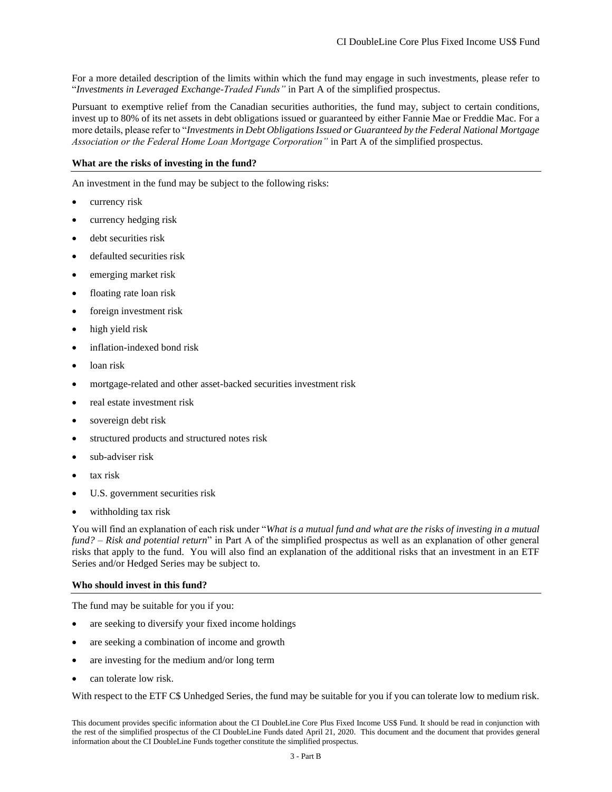For a more detailed description of the limits within which the fund may engage in such investments, please refer to "*Investments in Leveraged Exchange-Traded Funds"* in Part A of the simplified prospectus.

Pursuant to exemptive relief from the Canadian securities authorities, the fund may, subject to certain conditions, invest up to 80% of its net assets in debt obligations issued or guaranteed by either Fannie Mae or Freddie Mac. For a more details, please refer to "*Investments in Debt Obligations Issued or Guaranteed by the Federal National Mortgage Association or the Federal Home Loan Mortgage Corporation"* in Part A of the simplified prospectus.

## **What are the risks of investing in the fund?**

An investment in the fund may be subject to the following risks:

- currency risk
- currency hedging risk
- debt securities risk
- defaulted securities risk
- emerging market risk
- floating rate loan risk
- foreign investment risk
- high yield risk
- inflation-indexed bond risk
- loan risk
- mortgage-related and other asset-backed securities investment risk
- real estate investment risk
- sovereign debt risk
- structured products and structured notes risk
- sub-adviser risk
- tax risk
- U.S. government securities risk
- withholding tax risk

You will find an explanation of each risk under "*What is a mutual fund and what are the risks of investing in a mutual fund? – Risk and potential return*" in Part A of the simplified prospectus as well as an explanation of other general risks that apply to the fund. You will also find an explanation of the additional risks that an investment in an ETF Series and/or Hedged Series may be subject to.

## **Who should invest in this fund?**

The fund may be suitable for you if you:

- are seeking to diversify your fixed income holdings
- are seeking a combination of income and growth
- are investing for the medium and/or long term
- can tolerate low risk.

With respect to the ETF C\$ Unhedged Series, the fund may be suitable for you if you can tolerate low to medium risk.

This document provides specific information about the CI DoubleLine Core Plus Fixed Income US\$ Fund. It should be read in conjunction with the rest of the simplified prospectus of the CI DoubleLine Funds dated April 21, 2020. This document and the document that provides general information about the CI DoubleLine Funds together constitute the simplified prospectus.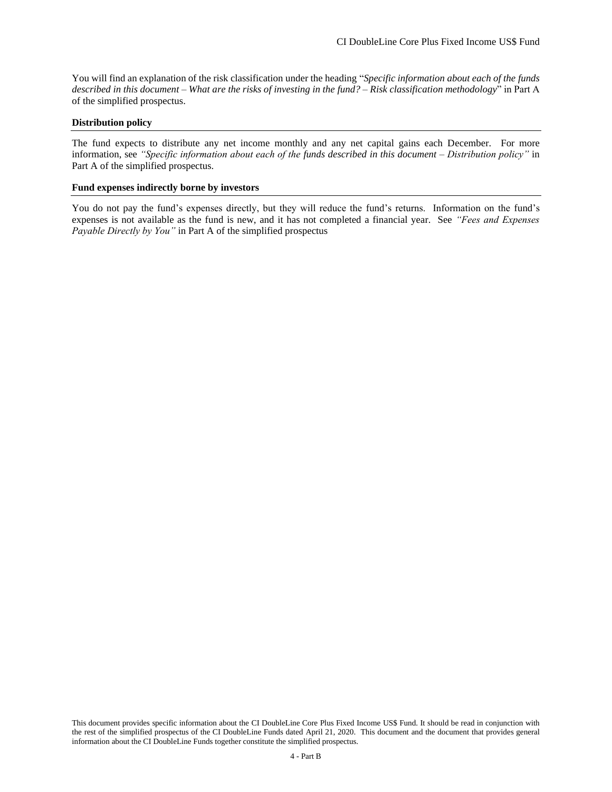You will find an explanation of the risk classification under the heading "*Specific information about each of the funds described in this document – What are the risks of investing in the fund? – Risk classification methodology*" in Part A of the simplified prospectus.

#### **Distribution policy**

The fund expects to distribute any net income monthly and any net capital gains each December. For more information, see *"Specific information about each of the funds described in this document – Distribution policy"* in Part A of the simplified prospectus.

#### **Fund expenses indirectly borne by investors**

You do not pay the fund's expenses directly, but they will reduce the fund's returns. Information on the fund's expenses is not available as the fund is new, and it has not completed a financial year. See *"Fees and Expenses Payable Directly by You"* in Part A of the simplified prospectus

This document provides specific information about the CI DoubleLine Core Plus Fixed Income US\$ Fund. It should be read in conjunction with the rest of the simplified prospectus of the CI DoubleLine Funds dated April 21, 2020. This document and the document that provides general information about the CI DoubleLine Funds together constitute the simplified prospectus.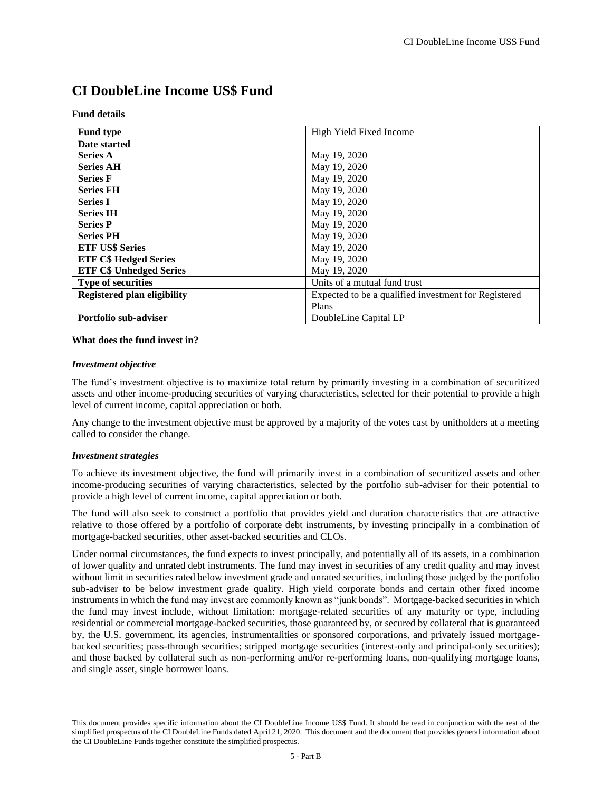# **CI DoubleLine Income US\$ Fund**

| <b>Fund type</b>                   | High Yield Fixed Income                              |
|------------------------------------|------------------------------------------------------|
| Date started                       |                                                      |
| <b>Series A</b>                    | May 19, 2020                                         |
| <b>Series AH</b>                   | May 19, 2020                                         |
| <b>Series F</b>                    | May 19, 2020                                         |
| <b>Series FH</b>                   | May 19, 2020                                         |
| <b>Series I</b>                    | May 19, 2020                                         |
| <b>Series IH</b>                   | May 19, 2020                                         |
| <b>Series P</b>                    | May 19, 2020                                         |
| <b>Series PH</b>                   | May 19, 2020                                         |
| <b>ETF US\$ Series</b>             | May 19, 2020                                         |
| <b>ETF C\$ Hedged Series</b>       | May 19, 2020                                         |
| <b>ETF C\$ Unhedged Series</b>     | May 19, 2020                                         |
| <b>Type of securities</b>          | Units of a mutual fund trust                         |
| <b>Registered plan eligibility</b> | Expected to be a qualified investment for Registered |
|                                    | Plans                                                |
| Portfolio sub-adviser              | DoubleLine Capital LP                                |

#### **Fund details**

# **What does the fund invest in?**

#### *Investment objective*

The fund's investment objective is to maximize total return by primarily investing in a combination of securitized assets and other income-producing securities of varying characteristics, selected for their potential to provide a high level of current income, capital appreciation or both.

Any change to the investment objective must be approved by a majority of the votes cast by unitholders at a meeting called to consider the change.

#### *Investment strategies*

To achieve its investment objective, the fund will primarily invest in a combination of securitized assets and other income-producing securities of varying characteristics, selected by the portfolio sub-adviser for their potential to provide a high level of current income, capital appreciation or both.

The fund will also seek to construct a portfolio that provides yield and duration characteristics that are attractive relative to those offered by a portfolio of corporate debt instruments, by investing principally in a combination of mortgage-backed securities, other asset-backed securities and CLOs.

Under normal circumstances, the fund expects to invest principally, and potentially all of its assets, in a combination of lower quality and unrated debt instruments. The fund may invest in securities of any credit quality and may invest without limit in securities rated below investment grade and unrated securities, including those judged by the portfolio sub-adviser to be below investment grade quality. High yield corporate bonds and certain other fixed income instruments in which the fund may invest are commonly known as "junk bonds". Mortgage-backed securities in which the fund may invest include, without limitation: mortgage-related securities of any maturity or type, including residential or commercial mortgage-backed securities, those guaranteed by, or secured by collateral that is guaranteed by, the U.S. government, its agencies, instrumentalities or sponsored corporations, and privately issued mortgagebacked securities; pass-through securities; stripped mortgage securities (interest-only and principal-only securities); and those backed by collateral such as non-performing and/or re-performing loans, non-qualifying mortgage loans, and single asset, single borrower loans.

This document provides specific information about the CI DoubleLine Income US\$ Fund. It should be read in conjunction with the rest of the simplified prospectus of the CI DoubleLine Funds dated April 21, 2020. This document and the document that provides general information about the CI DoubleLine Funds together constitute the simplified prospectus.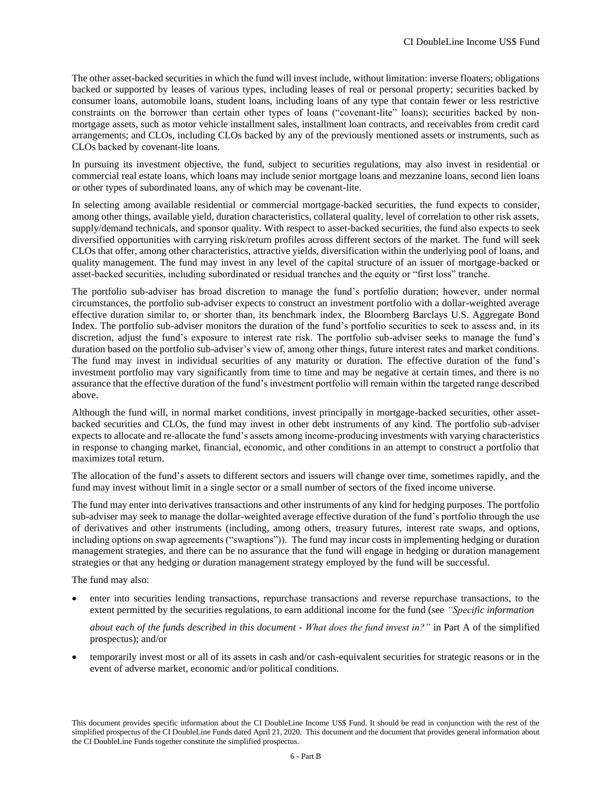The other asset-backed securities in which the fund will invest include, without limitation: inverse floaters; obligations backed or supported by leases of various types, including leases of real or personal property; securities backed by consumer loans, automobile loans, student loans, including loans of any type that contain fewer or less restrictive constraints on the borrower than certain other types of loans ("covenant-lite" loans); securities backed by nonmortgage assets, such as motor vehicle installment sales, installment loan contracts, and receivables from credit card arrangements; and CLOs, including CLOs backed by any of the previously mentioned assets or instruments, such as CLOs backed by covenant-lite loans.

In pursuing its investment objective, the fund, subject to securities regulations, may also invest in residential or commercial real estate loans, which loans may include senior mortgage loans and mezzanine loans, second lien loans or other types of subordinated loans, any of which may be covenant-lite.

In selecting among available residential or commercial mortgage-backed securities, the fund expects to consider, among other things, available yield, duration characteristics, collateral quality, level of correlation to other risk assets, supply/demand technicals, and sponsor quality. With respect to asset-backed securities, the fund also expects to seek diversified opportunities with carrying risk/return profiles across different sectors of the market. The fund will seek CLOs that offer, among other characteristics, attractive yields, diversification within the underlying pool of loans, and quality management. The fund may invest in any level of the capital structure of an issuer of mortgage-backed or asset-backed securities, including subordinated or residual tranches and the equity or "first loss" tranche.

The portfolio sub-adviser has broad discretion to manage the fund's portfolio duration; however, under normal circumstances, the portfolio sub-adviser expects to construct an investment portfolio with a dollar-weighted average effective duration similar to, or shorter than, its benchmark index, the Bloomberg Barclays U.S. Aggregate Bond Index. The portfolio sub-adviser monitors the duration of the fund's portfolio securities to seek to assess and, in its discretion, adjust the fund's exposure to interest rate risk. The portfolio sub-adviser seeks to manage the fund's duration based on the portfolio sub-adviser's view of, among other things, future interest rates and market conditions. The fund may invest in individual securities of any maturity or duration. The effective duration of the fund's investment portfolio may vary significantly from time to time and may be negative at certain times, and there is no assurance that the effective duration of the fund's investment portfolio will remain within the targeted range described above.

Although the fund will, in normal market conditions, invest principally in mortgage-backed securities, other assetbacked securities and CLOs, the fund may invest in other debt instruments of any kind. The portfolio sub-adviser expects to allocate and re-allocate the fund's assets among income-producing investments with varying characteristics in response to changing market, financial, economic, and other conditions in an attempt to construct a portfolio that maximizes total return.

The allocation of the fund's assets to different sectors and issuers will change over time, sometimes rapidly, and the fund may invest without limit in a single sector or a small number of sectors of the fixed income universe.

The fund may enter into derivatives transactions and other instruments of any kind for hedging purposes. The portfolio sub-adviser may seek to manage the dollar-weighted average effective duration of the fund's portfolio through the use of derivatives and other instruments (including, among others, treasury futures, interest rate swaps, and options, including options on swap agreements ("swaptions")). The fund may incur costs in implementing hedging or duration management strategies, and there can be no assurance that the fund will engage in hedging or duration management strategies or that any hedging or duration management strategy employed by the fund will be successful.

The fund may also:

• enter into securities lending transactions, repurchase transactions and reverse repurchase transactions, to the extent permitted by the securities regulations, to earn additional income for the fund (see *"Specific information* 

*about each of the funds described in this document - What does the fund invest in?"* in Part A of the simplified prospectus); and/or

• temporarily invest most or all of its assets in cash and/or cash-equivalent securities for strategic reasons or in the event of adverse market, economic and/or political conditions.

This document provides specific information about the CI DoubleLine Income US\$ Fund. It should be read in conjunction with the rest of the simplified prospectus of the CI DoubleLine Funds dated April 21, 2020. This document and the document that provides general information about the CI DoubleLine Funds together constitute the simplified prospectus.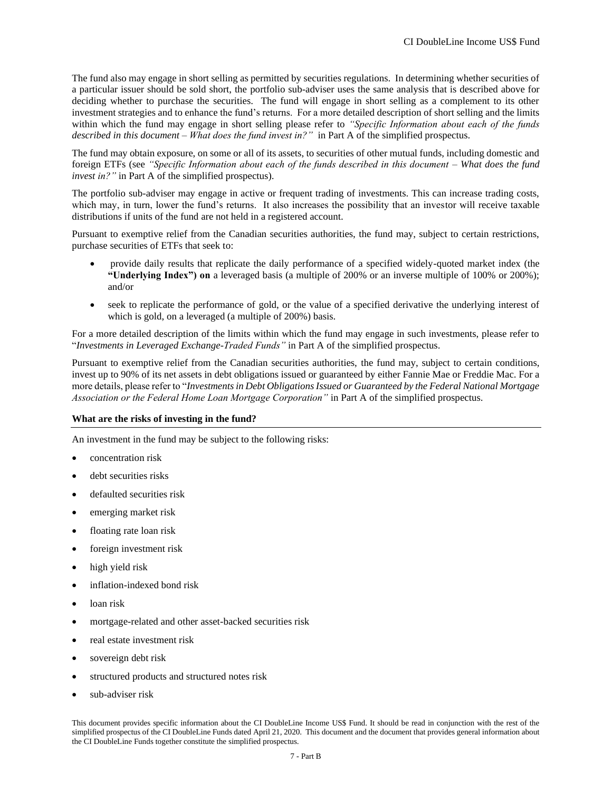The fund also may engage in short selling as permitted by securities regulations. In determining whether securities of a particular issuer should be sold short, the portfolio sub-adviser uses the same analysis that is described above for deciding whether to purchase the securities. The fund will engage in short selling as a complement to its other investment strategies and to enhance the fund's returns. For a more detailed description of short selling and the limits within which the fund may engage in short selling please refer to *"Specific Information about each of the funds described in this document – What does the fund invest in?"* in Part A of the simplified prospectus.

The fund may obtain exposure, on some or all of its assets, to securities of other mutual funds, including domestic and foreign ETFs (see *"Specific Information about each of the funds described in this document – What does the fund invest in?"* in Part A of the simplified prospectus).

The portfolio sub-adviser may engage in active or frequent trading of investments. This can increase trading costs, which may, in turn, lower the fund's returns. It also increases the possibility that an investor will receive taxable distributions if units of the fund are not held in a registered account.

Pursuant to exemptive relief from the Canadian securities authorities, the fund may, subject to certain restrictions, purchase securities of ETFs that seek to:

- provide daily results that replicate the daily performance of a specified widely-quoted market index (the **"Underlying Index") on** a leveraged basis (a multiple of 200% or an inverse multiple of 100% or 200%); and/or
- seek to replicate the performance of gold, or the value of a specified derivative the underlying interest of which is gold, on a leveraged (a multiple of 200%) basis.

For a more detailed description of the limits within which the fund may engage in such investments, please refer to "*Investments in Leveraged Exchange-Traded Funds"* in Part A of the simplified prospectus.

Pursuant to exemptive relief from the Canadian securities authorities, the fund may, subject to certain conditions, invest up to 90% of its net assets in debt obligations issued or guaranteed by either Fannie Mae or Freddie Mac. For a more details, please refer to "*Investments in Debt Obligations Issued or Guaranteed by the Federal National Mortgage Association or the Federal Home Loan Mortgage Corporation"* in Part A of the simplified prospectus.

## **What are the risks of investing in the fund?**

An investment in the fund may be subject to the following risks:

- concentration risk
- debt securities risks
- defaulted securities risk
- emerging market risk
- floating rate loan risk
- foreign investment risk
- high yield risk
- inflation-indexed bond risk
- loan risk
- mortgage-related and other asset-backed securities risk
- real estate investment risk
- sovereign debt risk
- structured products and structured notes risk
- sub-adviser risk

This document provides specific information about the CI DoubleLine Income US\$ Fund. It should be read in conjunction with the rest of the simplified prospectus of the CI DoubleLine Funds dated April 21, 2020. This document and the document that provides general information about the CI DoubleLine Funds together constitute the simplified prospectus.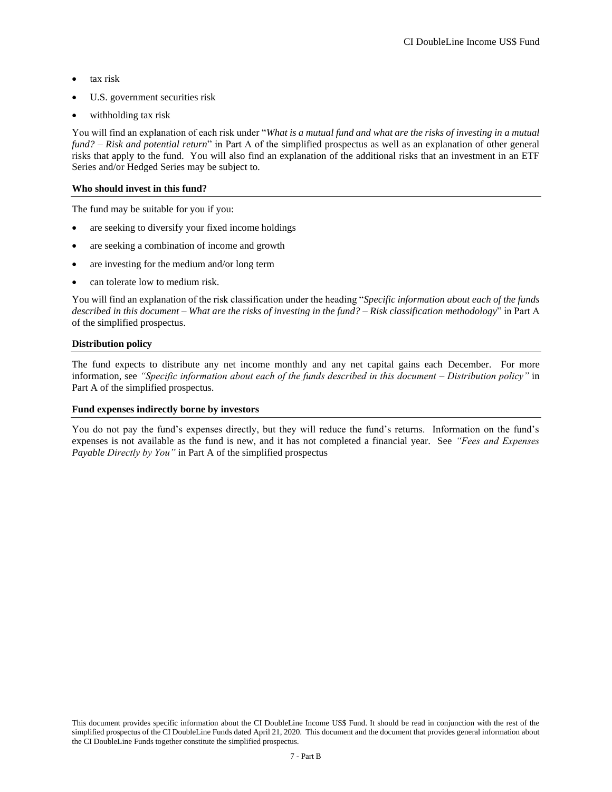- tax risk
- U.S. government securities risk
- withholding tax risk

You will find an explanation of each risk under "*What is a mutual fund and what are the risks of investing in a mutual fund? – Risk and potential return*" in Part A of the simplified prospectus as well as an explanation of other general risks that apply to the fund. You will also find an explanation of the additional risks that an investment in an ETF Series and/or Hedged Series may be subject to.

#### **Who should invest in this fund?**

The fund may be suitable for you if you:

- are seeking to diversify your fixed income holdings
- are seeking a combination of income and growth
- are investing for the medium and/or long term
- can tolerate low to medium risk.

You will find an explanation of the risk classification under the heading "*Specific information about each of the funds described in this document – What are the risks of investing in the fund? – Risk classification methodology*" in Part A of the simplified prospectus.

#### **Distribution policy**

The fund expects to distribute any net income monthly and any net capital gains each December. For more information, see *"Specific information about each of the funds described in this document – Distribution policy"* in Part A of the simplified prospectus.

#### **Fund expenses indirectly borne by investors**

You do not pay the fund's expenses directly, but they will reduce the fund's returns. Information on the fund's expenses is not available as the fund is new, and it has not completed a financial year. See *"Fees and Expenses Payable Directly by You"* in Part A of the simplified prospectus

This document provides specific information about the CI DoubleLine Income US\$ Fund. It should be read in conjunction with the rest of the simplified prospectus of the CI DoubleLine Funds dated April 21, 2020. This document and the document that provides general information about the CI DoubleLine Funds together constitute the simplified prospectus.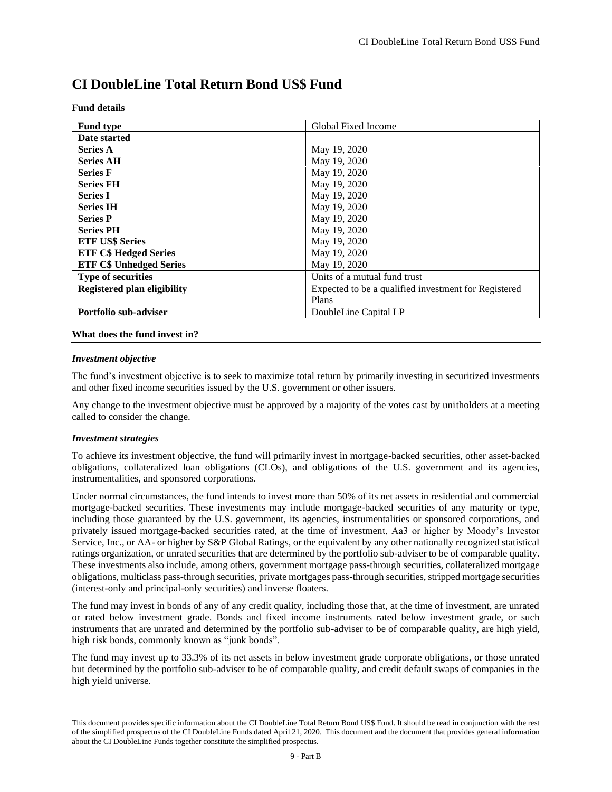# **CI DoubleLine Total Return Bond US\$ Fund**

|  | Fund details |
|--|--------------|
|--|--------------|

| <b>Fund type</b>                   | Global Fixed Income                                  |
|------------------------------------|------------------------------------------------------|
| Date started                       |                                                      |
| <b>Series A</b>                    | May 19, 2020                                         |
| <b>Series AH</b>                   | May 19, 2020                                         |
| <b>Series F</b>                    | May 19, 2020                                         |
| <b>Series FH</b>                   | May 19, 2020                                         |
| <b>Series I</b>                    | May 19, 2020                                         |
| <b>Series IH</b>                   | May 19, 2020                                         |
| <b>Series P</b>                    | May 19, 2020                                         |
| <b>Series PH</b>                   | May 19, 2020                                         |
| <b>ETF US\$ Series</b>             | May 19, 2020                                         |
| <b>ETF C\$ Hedged Series</b>       | May 19, 2020                                         |
| <b>ETF C\$ Unhedged Series</b>     | May 19, 2020                                         |
| <b>Type of securities</b>          | Units of a mutual fund trust                         |
| <b>Registered plan eligibility</b> | Expected to be a qualified investment for Registered |
|                                    | Plans                                                |
| <b>Portfolio sub-adviser</b>       | DoubleLine Capital LP                                |

#### **What does the fund invest in?**

#### *Investment objective*

The fund's investment objective is to seek to maximize total return by primarily investing in securitized investments and other fixed income securities issued by the U.S. government or other issuers.

Any change to the investment objective must be approved by a majority of the votes cast by unitholders at a meeting called to consider the change.

#### *Investment strategies*

To achieve its investment objective, the fund will primarily invest in mortgage-backed securities, other asset-backed obligations, collateralized loan obligations (CLOs), and obligations of the U.S. government and its agencies, instrumentalities, and sponsored corporations.

Under normal circumstances, the fund intends to invest more than 50% of its net assets in residential and commercial mortgage-backed securities. These investments may include mortgage-backed securities of any maturity or type, including those guaranteed by the U.S. government, its agencies, instrumentalities or sponsored corporations, and privately issued mortgage-backed securities rated, at the time of investment, Aa3 or higher by Moody's Investor Service, Inc., or AA- or higher by S&P Global Ratings, or the equivalent by any other nationally recognized statistical ratings organization, or unrated securities that are determined by the portfolio sub-adviser to be of comparable quality. These investments also include, among others, government mortgage pass-through securities, collateralized mortgage obligations, multiclass pass-through securities, private mortgages pass-through securities, stripped mortgage securities (interest-only and principal-only securities) and inverse floaters.

The fund may invest in bonds of any of any credit quality, including those that, at the time of investment, are unrated or rated below investment grade. Bonds and fixed income instruments rated below investment grade, or such instruments that are unrated and determined by the portfolio sub-adviser to be of comparable quality, are high yield, high risk bonds, commonly known as "junk bonds".

The fund may invest up to 33.3% of its net assets in below investment grade corporate obligations, or those unrated but determined by the portfolio sub-adviser to be of comparable quality, and credit default swaps of companies in the high yield universe.

This document provides specific information about the CI DoubleLine Total Return Bond US\$ Fund. It should be read in conjunction with the rest of the simplified prospectus of the CI DoubleLine Funds dated April 21, 2020. This document and the document that provides general information about the CI DoubleLine Funds together constitute the simplified prospectus.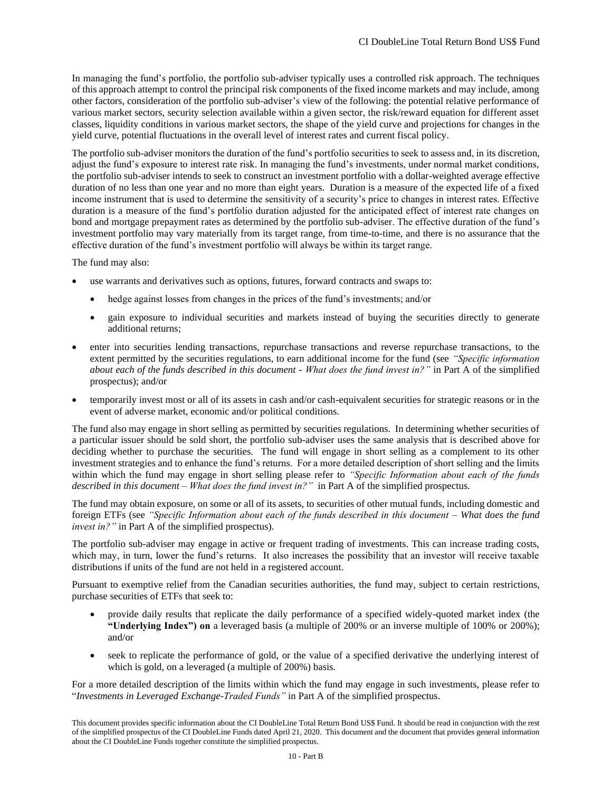In managing the fund's portfolio, the portfolio sub-adviser typically uses a controlled risk approach. The techniques of this approach attempt to control the principal risk components of the fixed income markets and may include, among other factors, consideration of the portfolio sub-adviser's view of the following: the potential relative performance of various market sectors, security selection available within a given sector, the risk/reward equation for different asset classes, liquidity conditions in various market sectors, the shape of the yield curve and projections for changes in the yield curve, potential fluctuations in the overall level of interest rates and current fiscal policy.

The portfolio sub-adviser monitors the duration of the fund's portfolio securities to seek to assess and, in its discretion, adjust the fund's exposure to interest rate risk. In managing the fund's investments, under normal market conditions, the portfolio sub-adviser intends to seek to construct an investment portfolio with a dollar-weighted average effective duration of no less than one year and no more than eight years. Duration is a measure of the expected life of a fixed income instrument that is used to determine the sensitivity of a security's price to changes in interest rates. Effective duration is a measure of the fund's portfolio duration adjusted for the anticipated effect of interest rate changes on bond and mortgage prepayment rates as determined by the portfolio sub-adviser. The effective duration of the fund's investment portfolio may vary materially from its target range, from time-to-time, and there is no assurance that the effective duration of the fund's investment portfolio will always be within its target range.

The fund may also:

- use warrants and derivatives such as options, futures, forward contracts and swaps to:
	- hedge against losses from changes in the prices of the fund's investments; and/or
	- gain exposure to individual securities and markets instead of buying the securities directly to generate additional returns;
- enter into securities lending transactions, repurchase transactions and reverse repurchase transactions, to the extent permitted by the securities regulations, to earn additional income for the fund (see *"Specific information about each of the funds described in this document - What does the fund invest in?"* in Part A of the simplified prospectus); and/or
- temporarily invest most or all of its assets in cash and/or cash-equivalent securities for strategic reasons or in the event of adverse market, economic and/or political conditions.

The fund also may engage in short selling as permitted by securities regulations. In determining whether securities of a particular issuer should be sold short, the portfolio sub-adviser uses the same analysis that is described above for deciding whether to purchase the securities. The fund will engage in short selling as a complement to its other investment strategies and to enhance the fund's returns. For a more detailed description of short selling and the limits within which the fund may engage in short selling please refer to *"Specific Information about each of the funds described in this document – What does the fund invest in?"* in Part A of the simplified prospectus.

The fund may obtain exposure, on some or all of its assets, to securities of other mutual funds, including domestic and foreign ETFs (see *"Specific Information about each of the funds described in this document – What does the fund invest in?"* in Part A of the simplified prospectus).

The portfolio sub-adviser may engage in active or frequent trading of investments. This can increase trading costs, which may, in turn, lower the fund's returns. It also increases the possibility that an investor will receive taxable distributions if units of the fund are not held in a registered account.

Pursuant to exemptive relief from the Canadian securities authorities, the fund may, subject to certain restrictions, purchase securities of ETFs that seek to:

- provide daily results that replicate the daily performance of a specified widely-quoted market index (the **"Underlying Index") on** a leveraged basis (a multiple of 200% or an inverse multiple of 100% or 200%); and/or
- seek to replicate the performance of gold, or the value of a specified derivative the underlying interest of which is gold, on a leveraged (a multiple of 200%) basis.

For a more detailed description of the limits within which the fund may engage in such investments, please refer to "*Investments in Leveraged Exchange-Traded Funds"* in Part A of the simplified prospectus.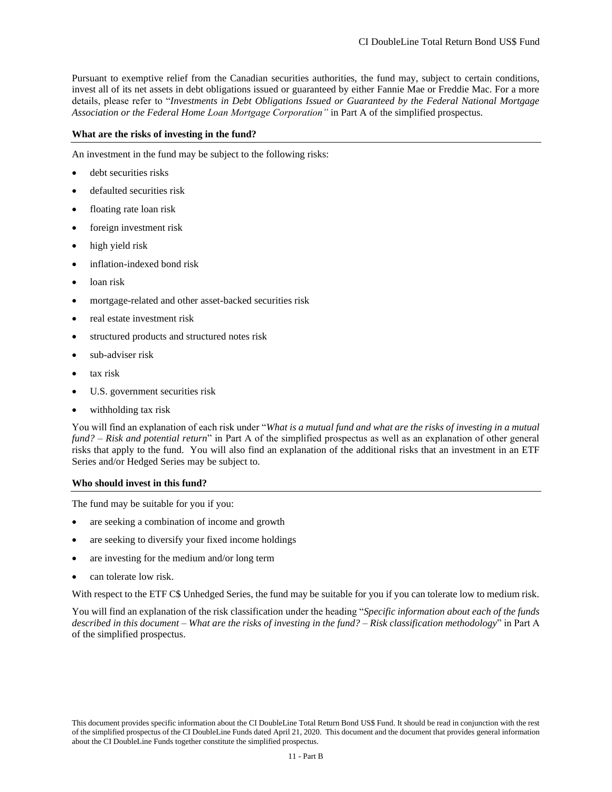Pursuant to exemptive relief from the Canadian securities authorities, the fund may, subject to certain conditions, invest all of its net assets in debt obligations issued or guaranteed by either Fannie Mae or Freddie Mac. For a more details, please refer to "*Investments in Debt Obligations Issued or Guaranteed by the Federal National Mortgage Association or the Federal Home Loan Mortgage Corporation"* in Part A of the simplified prospectus.

#### **What are the risks of investing in the fund?**

An investment in the fund may be subject to the following risks:

- debt securities risks
- defaulted securities risk
- floating rate loan risk
- foreign investment risk
- high yield risk
- inflation-indexed bond risk
- loan risk
- mortgage-related and other asset-backed securities risk
- real estate investment risk
- structured products and structured notes risk
- sub-adviser risk
- tax risk
- U.S. government securities risk
- withholding tax risk

You will find an explanation of each risk under "*What is a mutual fund and what are the risks of investing in a mutual fund? – Risk and potential return*" in Part A of the simplified prospectus as well as an explanation of other general risks that apply to the fund. You will also find an explanation of the additional risks that an investment in an ETF Series and/or Hedged Series may be subject to.

#### **Who should invest in this fund?**

The fund may be suitable for you if you:

- are seeking a combination of income and growth
- are seeking to diversify your fixed income holdings
- are investing for the medium and/or long term
- can tolerate low risk.

With respect to the ETF C\$ Unhedged Series, the fund may be suitable for you if you can tolerate low to medium risk.

You will find an explanation of the risk classification under the heading "*Specific information about each of the funds described in this document – What are the risks of investing in the fund? – Risk classification methodology*" in Part A of the simplified prospectus.

This document provides specific information about the CI DoubleLine Total Return Bond US\$ Fund. It should be read in conjunction with the rest of the simplified prospectus of the CI DoubleLine Funds dated April 21, 2020. This document and the document that provides general information about the CI DoubleLine Funds together constitute the simplified prospectus.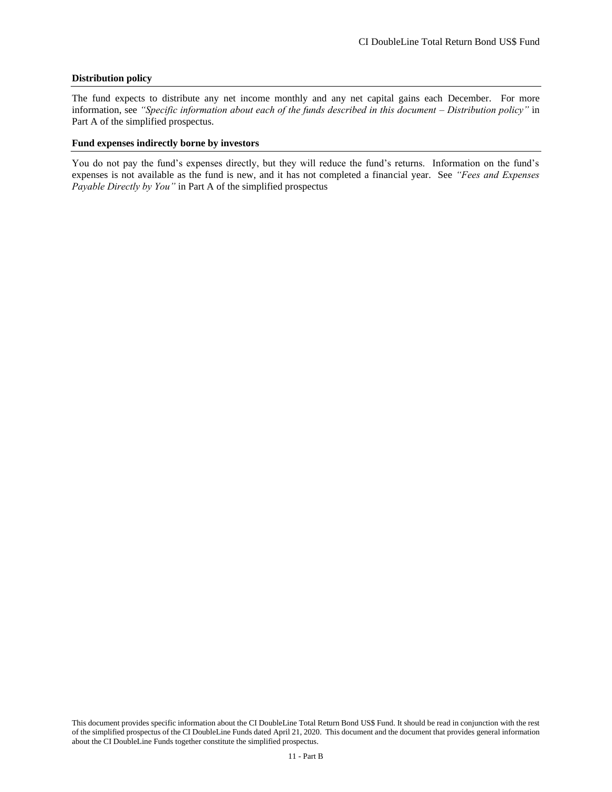#### **Distribution policy**

The fund expects to distribute any net income monthly and any net capital gains each December. For more information, see *"Specific information about each of the funds described in this document – Distribution policy"* in Part A of the simplified prospectus.

#### **Fund expenses indirectly borne by investors**

You do not pay the fund's expenses directly, but they will reduce the fund's returns. Information on the fund's expenses is not available as the fund is new, and it has not completed a financial year. See *"Fees and Expenses Payable Directly by You"* in Part A of the simplified prospectus

This document provides specific information about the CI DoubleLine Total Return Bond US\$ Fund. It should be read in conjunction with the rest of the simplified prospectus of the CI DoubleLine Funds dated April 21, 2020. This document and the document that provides general information about the CI DoubleLine Funds together constitute the simplified prospectus.